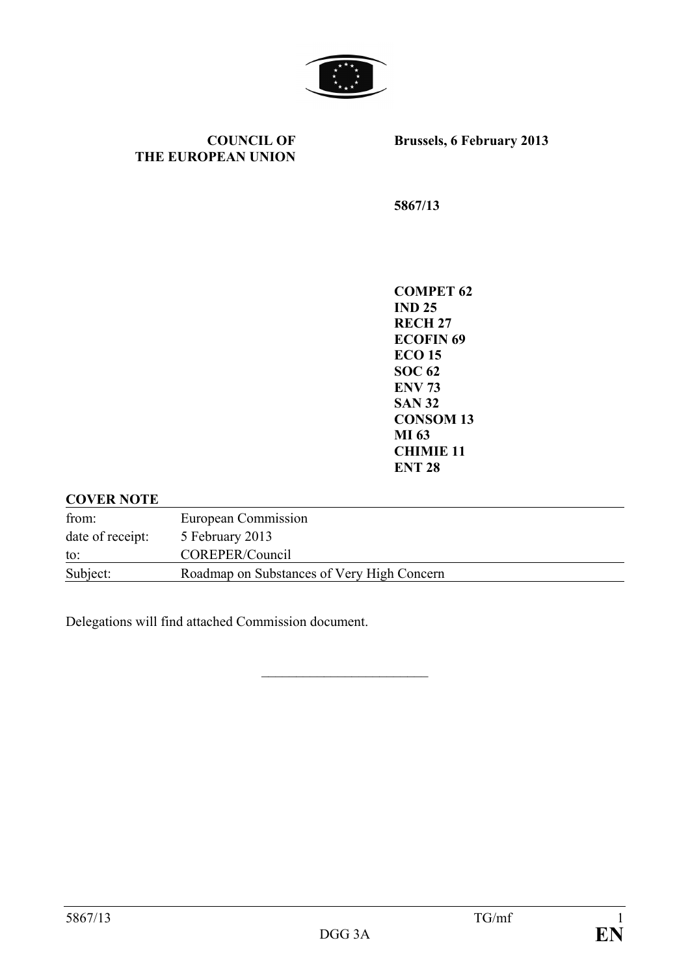

**COUNCIL OF THE EUROPEAN UNION** **Brussels, 6 February 2013**

**5867/13**

**COMPET 62 IND 25 RECH 27 ECOFIN 69 ECO 15 SOC 62 ENV 73 SAN 32 CONSOM 13 MI 63 CHIMIE 11 ENT 28**

#### **COVER NOTE**

| from:            | European Commission                        |
|------------------|--------------------------------------------|
| date of receipt: | 5 February 2013                            |
| to:              | COREPER/Council                            |
| Subject:         | Roadmap on Substances of Very High Concern |

 $\overline{\mathcal{L}}$  , which is a set of the set of the set of the set of the set of the set of the set of the set of the set of the set of the set of the set of the set of the set of the set of the set of the set of the set of th

Delegations will find attached Commission document.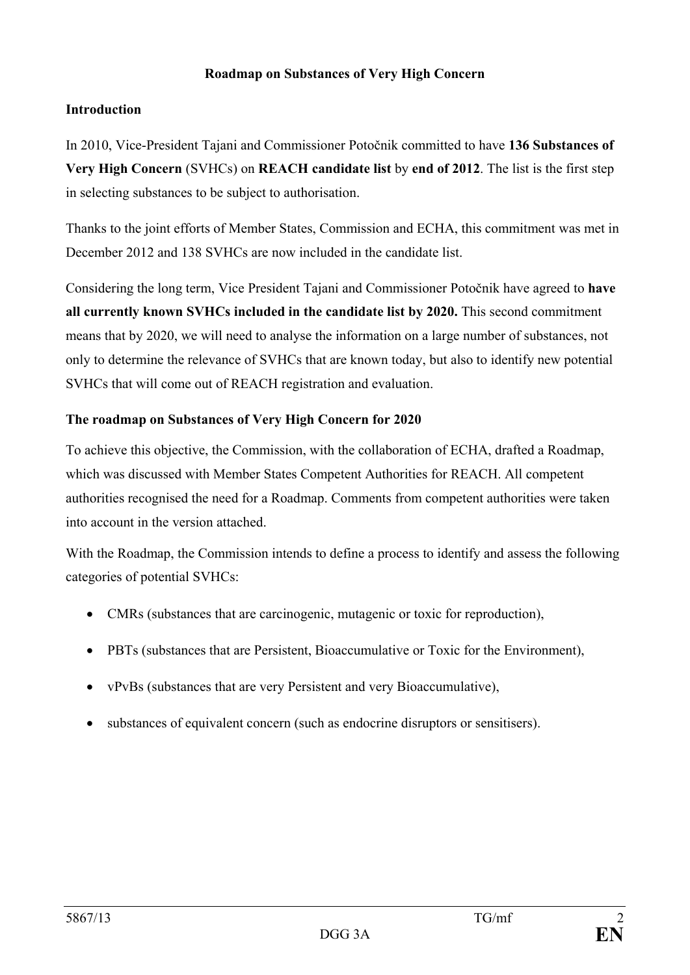### **Roadmap on Substances of Very High Concern**

### **Introduction**

In 2010, Vice-President Tajani and Commissioner Potočnik committed to have **136 Substances of Very High Concern** (SVHCs) on **REACH candidate list** by **end of 2012**. The list is the first step in selecting substances to be subject to authorisation.

Thanks to the joint efforts of Member States, Commission and ECHA, this commitment was met in December 2012 and 138 SVHCs are now included in the candidate list.

Considering the long term, Vice President Tajani and Commissioner Potočnik have agreed to **have all currently known SVHCs included in the candidate list by 2020.** This second commitment means that by 2020, we will need to analyse the information on a large number of substances, not only to determine the relevance of SVHCs that are known today, but also to identify new potential SVHCs that will come out of REACH registration and evaluation.

### **The roadmap on Substances of Very High Concern for 2020**

To achieve this objective, the Commission, with the collaboration of ECHA, drafted a Roadmap, which was discussed with Member States Competent Authorities for REACH. All competent authorities recognised the need for a Roadmap. Comments from competent authorities were taken into account in the version attached.

With the Roadmap, the Commission intends to define a process to identify and assess the following categories of potential SVHCs:

- CMRs (substances that are carcinogenic, mutagenic or toxic for reproduction),
- PBTs (substances that are Persistent, Bioaccumulative or Toxic for the Environment),
- vPvBs (substances that are very Persistent and very Bioaccumulative),
- substances of equivalent concern (such as endocrine disruptors or sensitisers).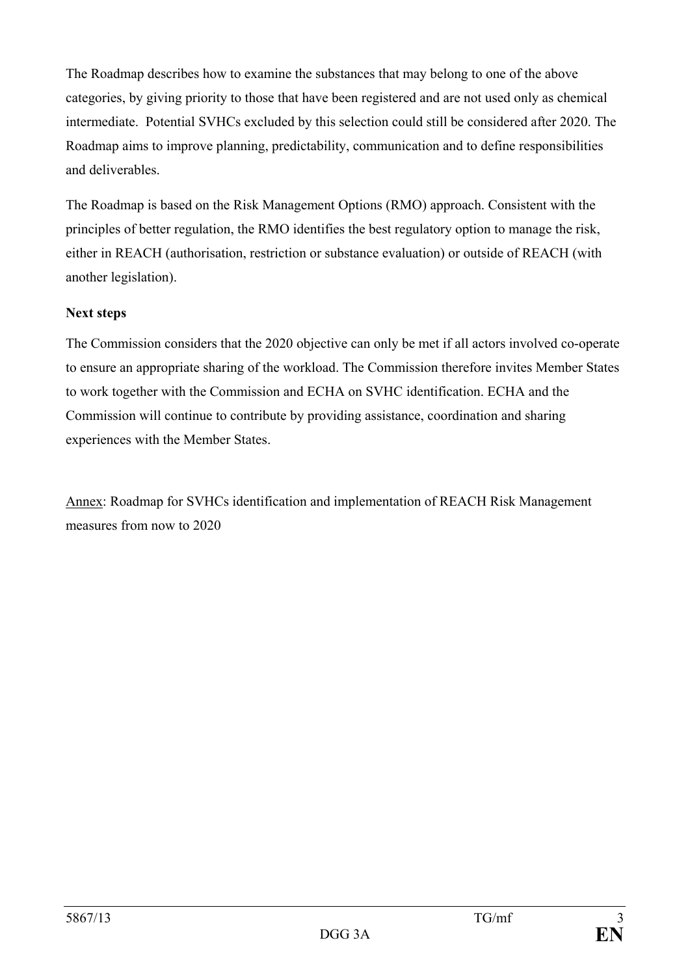The Roadmap describes how to examine the substances that may belong to one of the above categories, by giving priority to those that have been registered and are not used only as chemical intermediate. Potential SVHCs excluded by this selection could still be considered after 2020. The Roadmap aims to improve planning, predictability, communication and to define responsibilities and deliverables.

The Roadmap is based on the Risk Management Options (RMO) approach. Consistent with the principles of better regulation, the RMO identifies the best regulatory option to manage the risk, either in REACH (authorisation, restriction or substance evaluation) or outside of REACH (with another legislation).

### **Next steps**

The Commission considers that the 2020 objective can only be met if all actors involved co-operate to ensure an appropriate sharing of the workload. The Commission therefore invites Member States to work together with the Commission and ECHA on SVHC identification. ECHA and the Commission will continue to contribute by providing assistance, coordination and sharing experiences with the Member States.

Annex: Roadmap for SVHCs identification and implementation of REACH Risk Management measures from now to 2020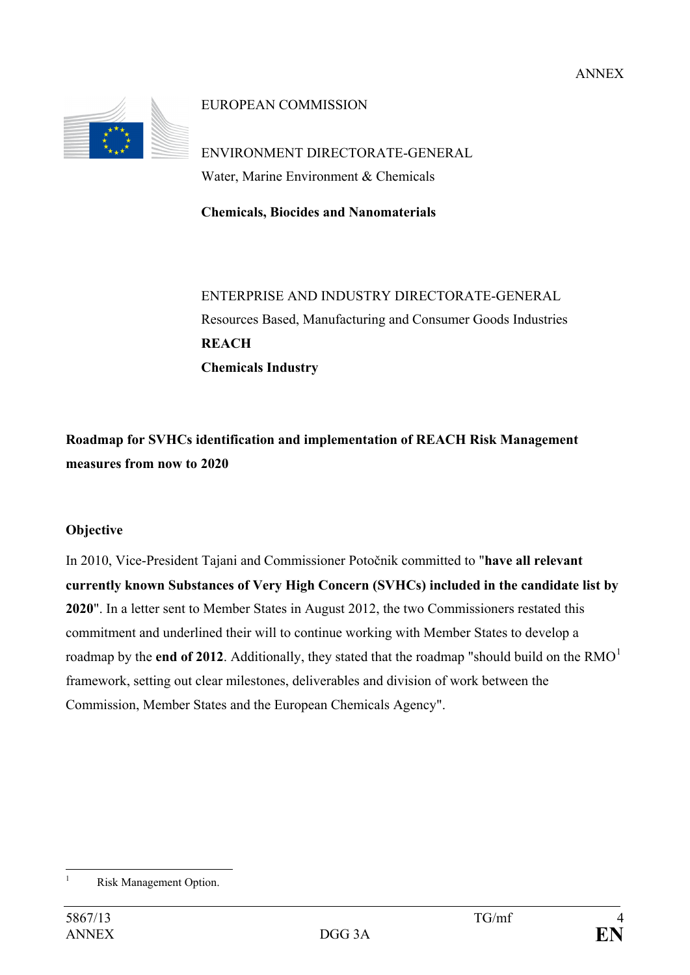

EUROPEAN COMMISSION

ENVIRONMENT DIRECTORATE-GENERAL Water, Marine Environment & Chemicals

**Chemicals, Biocides and Nanomaterials**

ENTERPRISE AND INDUSTRY DIRECTORATE-GENERAL Resources Based, Manufacturing and Consumer Goods Industries **REACH Chemicals Industry**

**Roadmap for SVHCs identification and implementation of REACH Risk Management measures from now to 2020**

### **Objective**

In 2010, Vice-President Tajani and Commissioner Potočnik committed to "**have all relevant currently known Substances of Very High Concern (SVHCs) included in the candidate list by 2020**". In a letter sent to Member States in August 2012, the two Commissioners restated this commitment and underlined their will to continue working with Member States to develop a roadmap by the **end of 20[1](#page-3-0)2**. Additionally, they stated that the roadmap "should build on the RMO<sup>1</sup> framework, setting out clear milestones, deliverables and division of work between the Commission, Member States and the European Chemicals Agency".

<span id="page-3-0"></span> $\overline{1}$ Risk Management Option.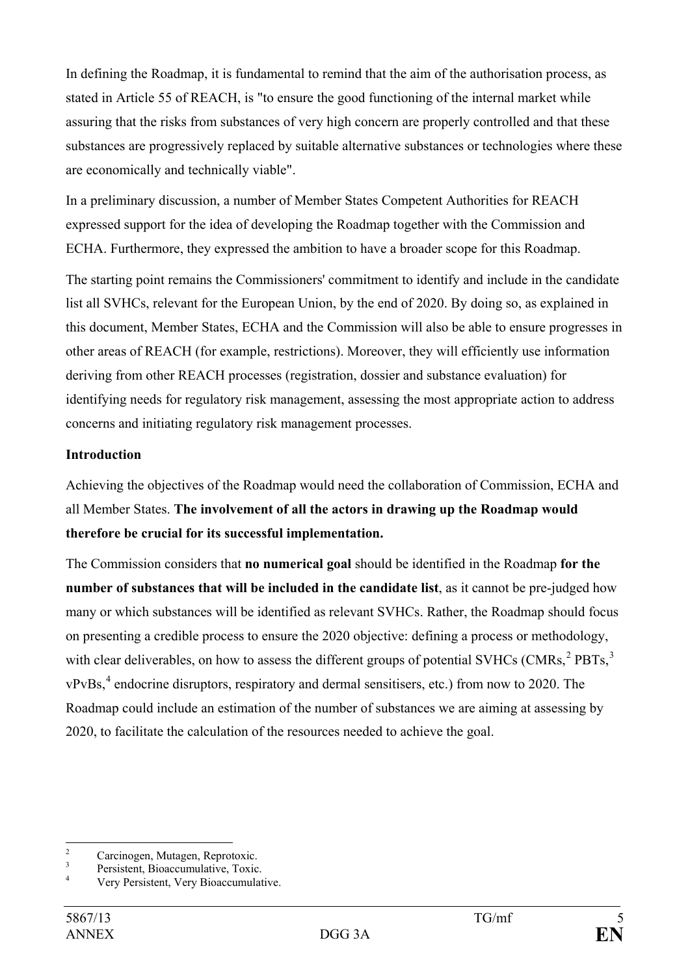In defining the Roadmap, it is fundamental to remind that the aim of the authorisation process, as stated in Article 55 of REACH, is "to ensure the good functioning of the internal market while assuring that the risks from substances of very high concern are properly controlled and that these substances are progressively replaced by suitable alternative substances or technologies where these are economically and technically viable".

In a preliminary discussion, a number of Member States Competent Authorities for REACH expressed support for the idea of developing the Roadmap together with the Commission and ECHA. Furthermore, they expressed the ambition to have a broader scope for this Roadmap.

The starting point remains the Commissioners' commitment to identify and include in the candidate list all SVHCs, relevant for the European Union, by the end of 2020. By doing so, as explained in this document, Member States, ECHA and the Commission will also be able to ensure progresses in other areas of REACH (for example, restrictions). Moreover, they will efficiently use information deriving from other REACH processes (registration, dossier and substance evaluation) for identifying needs for regulatory risk management, assessing the most appropriate action to address concerns and initiating regulatory risk management processes.

### **Introduction**

Achieving the objectives of the Roadmap would need the collaboration of Commission, ECHA and all Member States. **The involvement of all the actors in drawing up the Roadmap would therefore be crucial for its successful implementation.**

The Commission considers that **no numerical goal** should be identified in the Roadmap **for the number of substances that will be included in the candidate list**, as it cannot be pre-judged how many or which substances will be identified as relevant SVHCs. Rather, the Roadmap should focus on presenting a credible process to ensure the 2020 objective: defining a process or methodology, with clear deliverables, on how to assess the different groups of potential SVHCs (CMRs,  ${}^{2}$  ${}^{2}$  ${}^{2}$  PBTs,  ${}^{3}$  ${}^{3}$  ${}^{3}$ )  $vPvBs$ <sup>[4](#page-4-2)</sup>, endocrine disruptors, respiratory and dermal sensitisers, etc.) from now to 2020. The Roadmap could include an estimation of the number of substances we are aiming at assessing by 2020, to facilitate the calculation of the resources needed to achieve the goal.

 $\overline{c}$ 

<span id="page-4-2"></span><span id="page-4-1"></span>

<span id="page-4-0"></span><sup>&</sup>lt;sup>2</sup><br>
<sup>3</sup><br>
Persistent, Bioaccumulative, Toxic.<br>
<sup>4</sup><br>
Very Persistent, Very Bioaccumulative.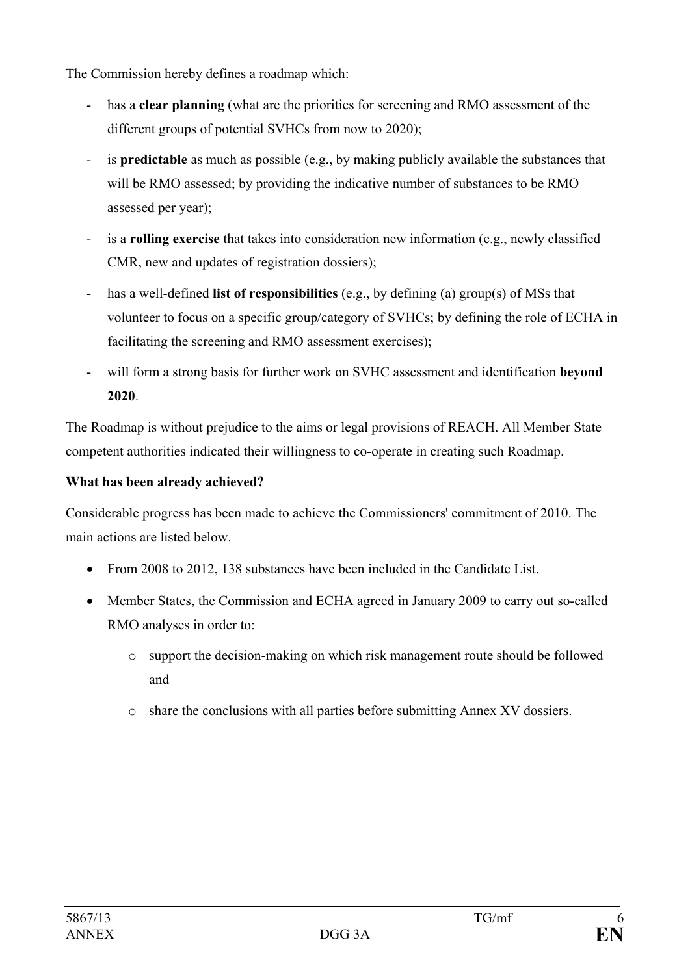The Commission hereby defines a roadmap which:

- has a **clear planning** (what are the priorities for screening and RMO assessment of the different groups of potential SVHCs from now to 2020);
- is **predictable** as much as possible (e.g., by making publicly available the substances that will be RMO assessed; by providing the indicative number of substances to be RMO assessed per year);
- is a **rolling exercise** that takes into consideration new information (e.g., newly classified CMR, new and updates of registration dossiers);
- has a well-defined **list of responsibilities** (e.g., by defining (a) group(s) of MSs that volunteer to focus on a specific group/category of SVHCs; by defining the role of ECHA in facilitating the screening and RMO assessment exercises);
- will form a strong basis for further work on SVHC assessment and identification **beyond 2020**.

The Roadmap is without prejudice to the aims or legal provisions of REACH. All Member State competent authorities indicated their willingness to co-operate in creating such Roadmap.

## **What has been already achieved?**

Considerable progress has been made to achieve the Commissioners' commitment of 2010. The main actions are listed below.

- From 2008 to 2012, 138 substances have been included in the Candidate List.
- Member States, the Commission and ECHA agreed in January 2009 to carry out so-called RMO analyses in order to:
	- o support the decision-making on which risk management route should be followed and
	- o share the conclusions with all parties before submitting Annex XV dossiers.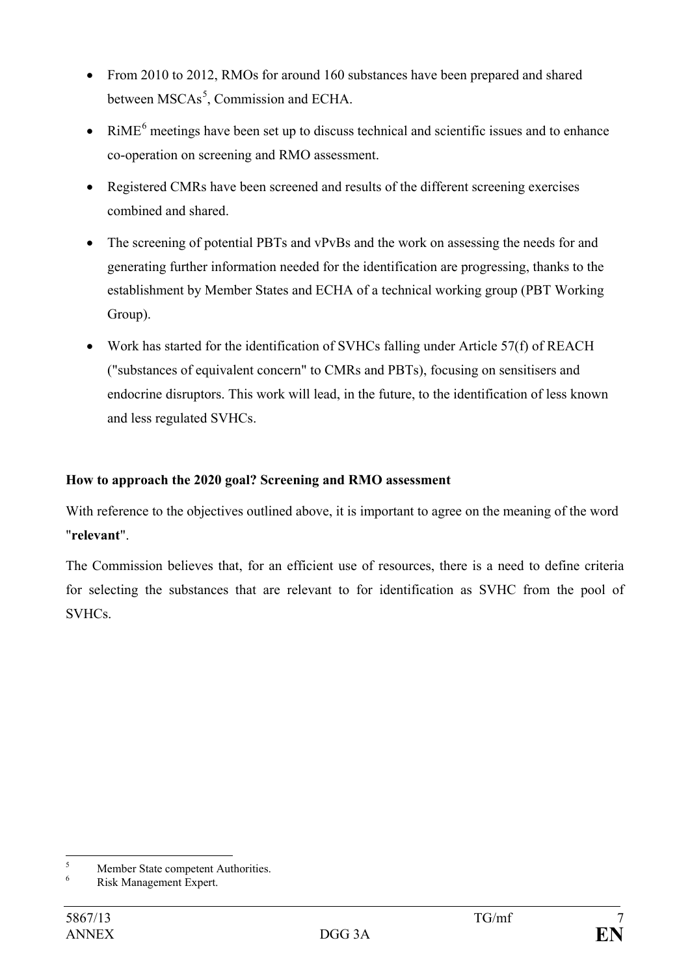- From 2010 to 2012, RMOs for around 160 substances have been prepared and shared between MSCAs<sup>[5](#page-6-0)</sup>, Commission and ECHA.
- RiME<sup>[6](#page-6-1)</sup> meetings have been set up to discuss technical and scientific issues and to enhance co-operation on screening and RMO assessment.
- Registered CMRs have been screened and results of the different screening exercises combined and shared.
- The screening of potential PBTs and vPvBs and the work on assessing the needs for and generating further information needed for the identification are progressing, thanks to the establishment by Member States and ECHA of a technical working group (PBT Working Group).
- Work has started for the identification of SVHCs falling under Article 57(f) of REACH ("substances of equivalent concern" to CMRs and PBTs), focusing on sensitisers and endocrine disruptors. This work will lead, in the future, to the identification of less known and less regulated SVHCs.

### **How to approach the 2020 goal? Screening and RMO assessment**

With reference to the objectives outlined above, it is important to agree on the meaning of the word "**relevant**".

The Commission believes that, for an efficient use of resources, there is a need to define criteria for selecting the substances that are relevant to for identification as SVHC from the pool of **SVHCs** 

<span id="page-6-0"></span> $\overline{\phantom{a}}$ <sup>5</sup><br>Risk Management Expert.

<span id="page-6-1"></span>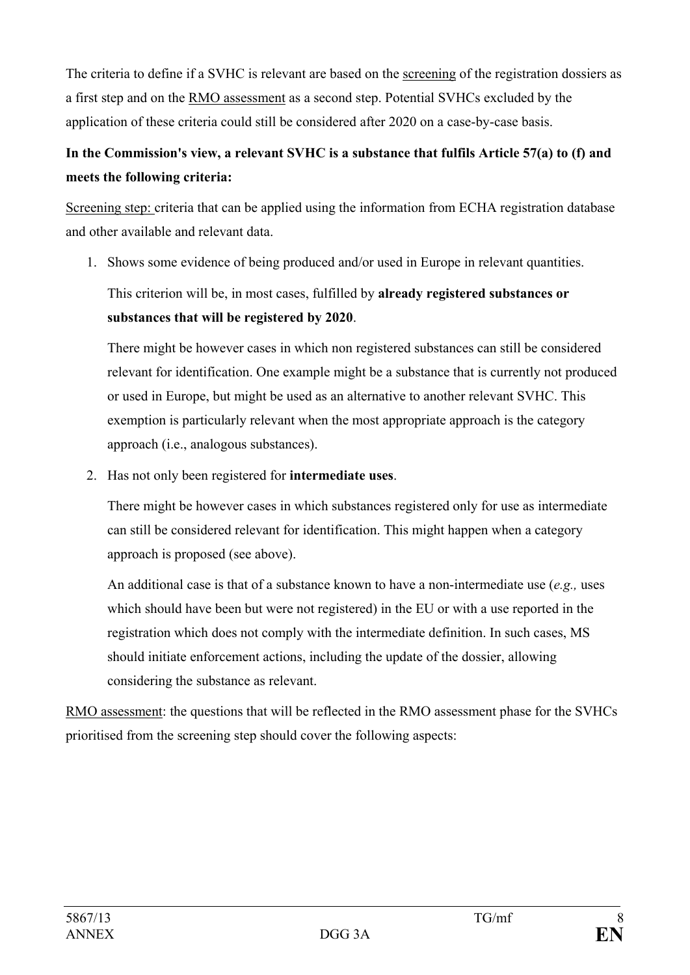The criteria to define if a SVHC is relevant are based on the screening of the registration dossiers as a first step and on the RMO assessment as a second step. Potential SVHCs excluded by the application of these criteria could still be considered after 2020 on a case-by-case basis.

# **In the Commission's view, a relevant SVHC is a substance that fulfils Article 57(a) to (f) and meets the following criteria:**

Screening step: criteria that can be applied using the information from ECHA registration database and other available and relevant data.

1. Shows some evidence of being produced and/or used in Europe in relevant quantities. This criterion will be, in most cases, fulfilled by **already registered substances or substances that will be registered by 2020**.

There might be however cases in which non registered substances can still be considered relevant for identification. One example might be a substance that is currently not produced or used in Europe, but might be used as an alternative to another relevant SVHC. This exemption is particularly relevant when the most appropriate approach is the category approach (i.e., analogous substances).

2. Has not only been registered for **intermediate uses**.

There might be however cases in which substances registered only for use as intermediate can still be considered relevant for identification. This might happen when a category approach is proposed (see above).

An additional case is that of a substance known to have a non-intermediate use (*e.g.,* uses which should have been but were not registered) in the EU or with a use reported in the registration which does not comply with the intermediate definition. In such cases, MS should initiate enforcement actions, including the update of the dossier, allowing considering the substance as relevant.

RMO assessment: the questions that will be reflected in the RMO assessment phase for the SVHCs prioritised from the screening step should cover the following aspects: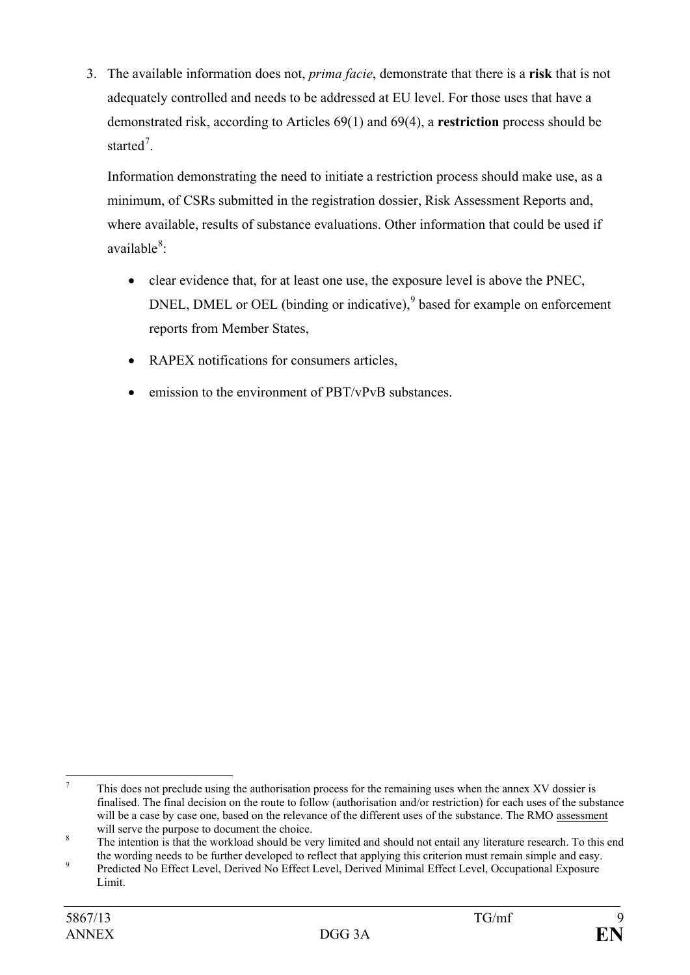3. The available information does not, *prima facie*, demonstrate that there is a **risk** that is not adequately controlled and needs to be addressed at EU level. For those uses that have a demonstrated risk, according to Articles 69(1) and 69(4), a **restriction** process should be started<sup>[7](#page-8-0)</sup>.

Information demonstrating the need to initiate a restriction process should make use, as a minimum, of CSRs submitted in the registration dossier, Risk Assessment Reports and, where available, results of substance evaluations. Other information that could be used if available<sup>[8](#page-8-1)</sup>:

- clear evidence that, for at least one use, the exposure level is above the PNEC, DNEL, DMEL or OEL (binding or indicative),  $9$  based for example on enforcement reports from Member States,
- RAPEX notifications for consumers articles,
- emission to the environment of PBT/vPvB substances.

<span id="page-8-0"></span> $\overline{7}$ This does not preclude using the authorisation process for the remaining uses when the annex XV dossier is finalised. The final decision on the route to follow (authorisation and/or restriction) for each uses of the substance will be a case by case one, based on the relevance of the different uses of the substance. The RMO assessment will serve the purpose to document the choice.

<span id="page-8-1"></span><sup>&</sup>lt;sup>8</sup> The intention is that the workload should be very limited and should not entail any literature research. To this end the wording needs to be further developed to reflect that applying this criterion must remain simple and easy.

<span id="page-8-2"></span><sup>9</sup> Predicted No Effect Level, Derived No Effect Level, Derived Minimal Effect Level, Occupational Exposure Limit.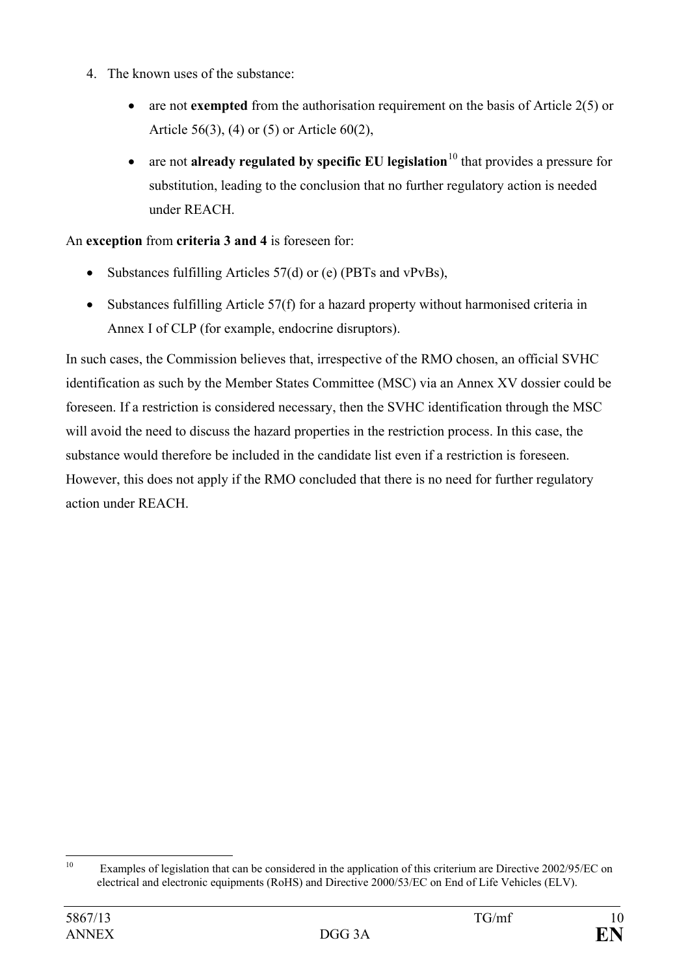- 4. The known uses of the substance:
	- are not **exempted** from the authorisation requirement on the basis of Article 2(5) or Article 56(3), (4) or (5) or Article 60(2),
	- are not **already regulated by specific EU legislation**<sup>[10](#page-9-0)</sup> that provides a pressure for substitution, leading to the conclusion that no further regulatory action is needed under REACH.

An **exception** from **criteria 3 and 4** is foreseen for:

- Substances fulfilling Articles 57(d) or (e) (PBTs and vPvBs),
- Substances fulfilling Article 57(f) for a hazard property without harmonised criteria in Annex I of CLP (for example, endocrine disruptors).

In such cases, the Commission believes that, irrespective of the RMO chosen, an official SVHC identification as such by the Member States Committee (MSC) via an Annex XV dossier could be foreseen. If a restriction is considered necessary, then the SVHC identification through the MSC will avoid the need to discuss the hazard properties in the restriction process. In this case, the substance would therefore be included in the candidate list even if a restriction is foreseen. However, this does not apply if the RMO concluded that there is no need for further regulatory action under REACH.

<span id="page-9-0"></span> $10$ Examples of legislation that can be considered in the application of this criterium are Directive 2002/95/EC on electrical and electronic equipments (RoHS) and Directive 2000/53/EC on End of Life Vehicles (ELV).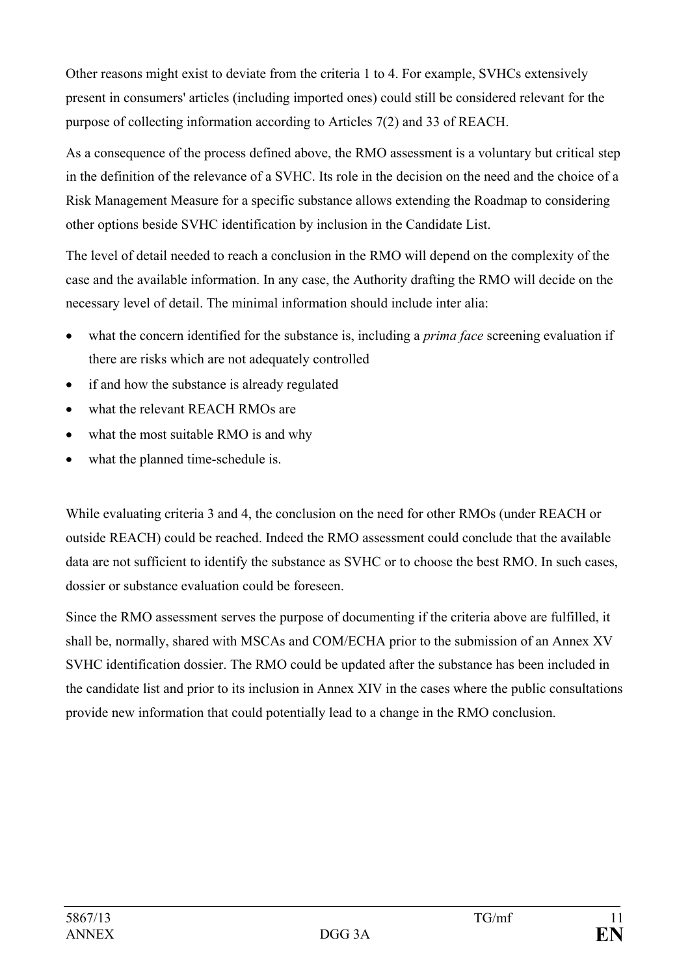Other reasons might exist to deviate from the criteria 1 to 4. For example, SVHCs extensively present in consumers' articles (including imported ones) could still be considered relevant for the purpose of collecting information according to Articles 7(2) and 33 of REACH.

As a consequence of the process defined above, the RMO assessment is a voluntary but critical step in the definition of the relevance of a SVHC. Its role in the decision on the need and the choice of a Risk Management Measure for a specific substance allows extending the Roadmap to considering other options beside SVHC identification by inclusion in the Candidate List.

The level of detail needed to reach a conclusion in the RMO will depend on the complexity of the case and the available information. In any case, the Authority drafting the RMO will decide on the necessary level of detail. The minimal information should include inter alia:

- what the concern identified for the substance is, including a *prima face* screening evaluation if there are risks which are not adequately controlled
- if and how the substance is already regulated
- what the relevant REACH RMOs are
- what the most suitable RMO is and why
- what the planned time-schedule is.

While evaluating criteria 3 and 4, the conclusion on the need for other RMOs (under REACH or outside REACH) could be reached. Indeed the RMO assessment could conclude that the available data are not sufficient to identify the substance as SVHC or to choose the best RMO. In such cases, dossier or substance evaluation could be foreseen.

Since the RMO assessment serves the purpose of documenting if the criteria above are fulfilled, it shall be, normally, shared with MSCAs and COM/ECHA prior to the submission of an Annex XV SVHC identification dossier. The RMO could be updated after the substance has been included in the candidate list and prior to its inclusion in Annex XIV in the cases where the public consultations provide new information that could potentially lead to a change in the RMO conclusion.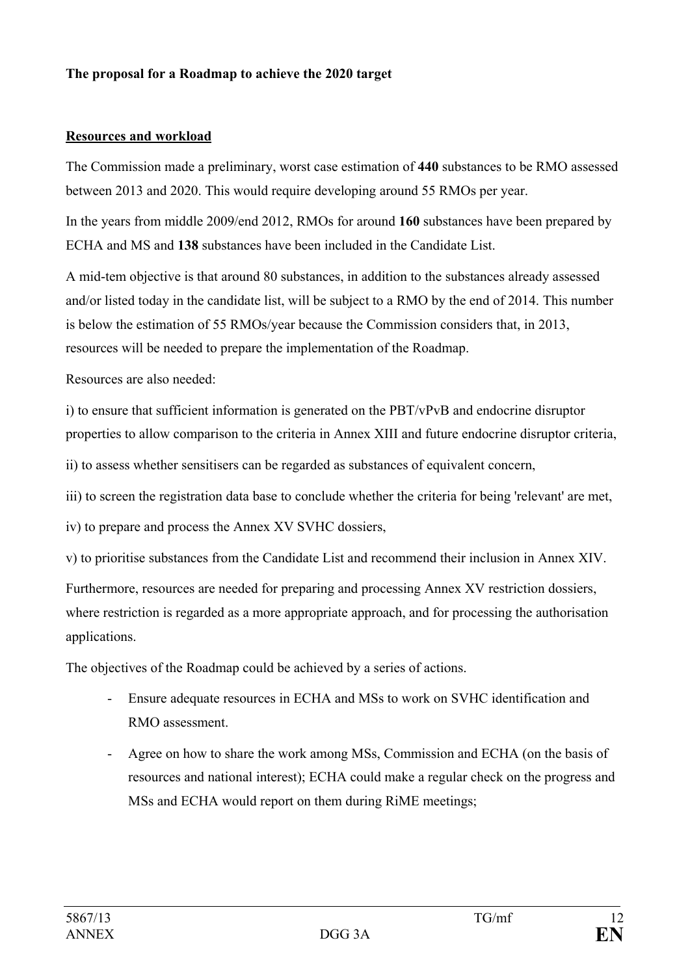### **The proposal for a Roadmap to achieve the 2020 target**

### **Resources and workload**

The Commission made a preliminary, worst case estimation of **440** substances to be RMO assessed between 2013 and 2020. This would require developing around 55 RMOs per year.

In the years from middle 2009/end 2012, RMOs for around **160** substances have been prepared by ECHA and MS and **138** substances have been included in the Candidate List.

A mid-tem objective is that around 80 substances, in addition to the substances already assessed and/or listed today in the candidate list, will be subject to a RMO by the end of 2014. This number is below the estimation of 55 RMOs/year because the Commission considers that, in 2013, resources will be needed to prepare the implementation of the Roadmap.

Resources are also needed:

i) to ensure that sufficient information is generated on the PBT/vPvB and endocrine disruptor properties to allow comparison to the criteria in Annex XIII and future endocrine disruptor criteria,

ii) to assess whether sensitisers can be regarded as substances of equivalent concern,

iii) to screen the registration data base to conclude whether the criteria for being 'relevant' are met,

iv) to prepare and process the Annex XV SVHC dossiers,

v) to prioritise substances from the Candidate List and recommend their inclusion in Annex XIV.

Furthermore, resources are needed for preparing and processing Annex XV restriction dossiers, where restriction is regarded as a more appropriate approach, and for processing the authorisation applications.

The objectives of the Roadmap could be achieved by a series of actions.

- Ensure adequate resources in ECHA and MSs to work on SVHC identification and RMO assessment.
- Agree on how to share the work among MSs, Commission and ECHA (on the basis of resources and national interest); ECHA could make a regular check on the progress and MSs and ECHA would report on them during RiME meetings;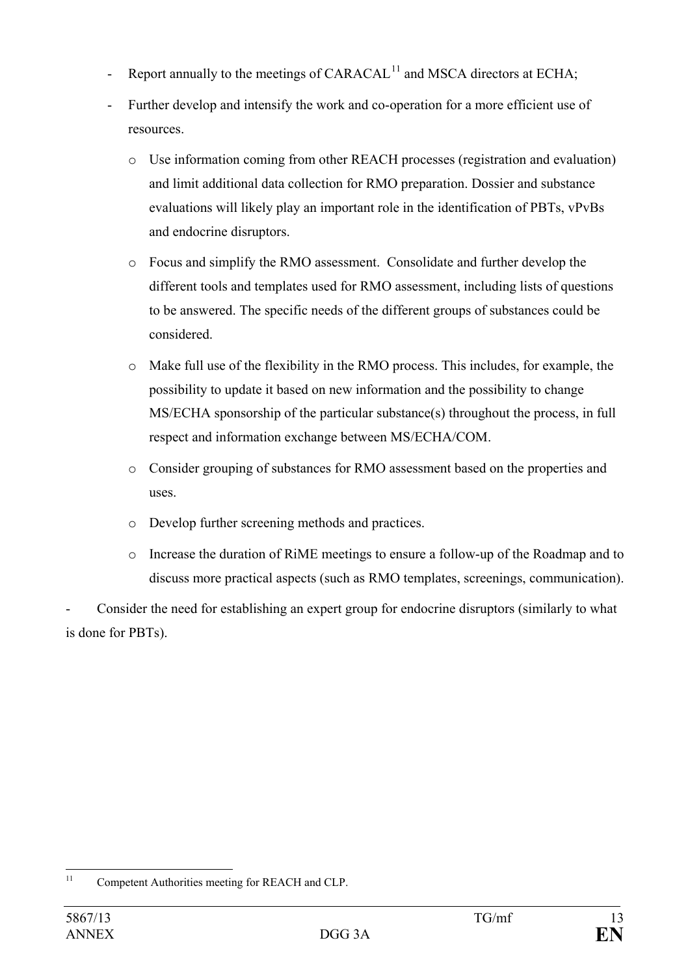- Report annually to the meetings of  $CARACAL<sup>11</sup>$  $CARACAL<sup>11</sup>$  $CARACAL<sup>11</sup>$  and MSCA directors at ECHA;
- Further develop and intensify the work and co-operation for a more efficient use of resources.
	- o Use information coming from other REACH processes (registration and evaluation) and limit additional data collection for RMO preparation. Dossier and substance evaluations will likely play an important role in the identification of PBTs, vPvBs and endocrine disruptors.
	- o Focus and simplify the RMO assessment. Consolidate and further develop the different tools and templates used for RMO assessment, including lists of questions to be answered. The specific needs of the different groups of substances could be considered.
	- o Make full use of the flexibility in the RMO process. This includes, for example, the possibility to update it based on new information and the possibility to change MS/ECHA sponsorship of the particular substance(s) throughout the process, in full respect and information exchange between MS/ECHA/COM.
	- o Consider grouping of substances for RMO assessment based on the properties and uses.
	- o Develop further screening methods and practices.
	- o Increase the duration of RiME meetings to ensure a follow-up of the Roadmap and to discuss more practical aspects (such as RMO templates, screenings, communication).

Consider the need for establishing an expert group for endocrine disruptors (similarly to what is done for PBTs).

<span id="page-12-0"></span> $11$ Competent Authorities meeting for REACH and CLP.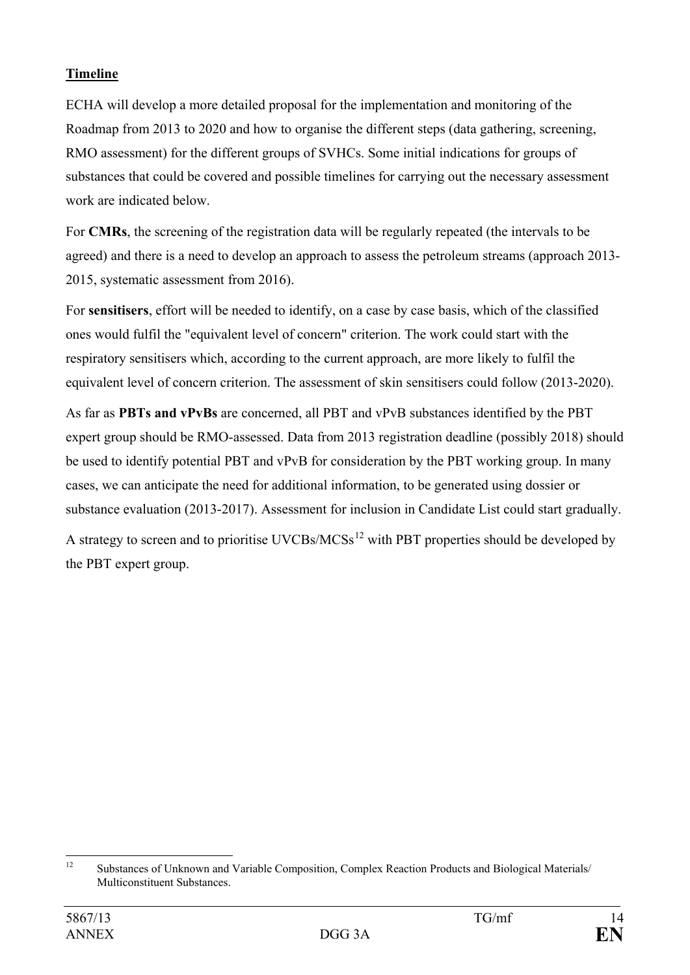### **Timeline**

ECHA will develop a more detailed proposal for the implementation and monitoring of the Roadmap from 2013 to 2020 and how to organise the different steps (data gathering, screening, RMO assessment) for the different groups of SVHCs. Some initial indications for groups of substances that could be covered and possible timelines for carrying out the necessary assessment work are indicated below.

For **CMRs**, the screening of the registration data will be regularly repeated (the intervals to be agreed) and there is a need to develop an approach to assess the petroleum streams (approach 2013- 2015, systematic assessment from 2016).

For **sensitisers**, effort will be needed to identify, on a case by case basis, which of the classified ones would fulfil the "equivalent level of concern" criterion. The work could start with the respiratory sensitisers which, according to the current approach, are more likely to fulfil the equivalent level of concern criterion. The assessment of skin sensitisers could follow (2013-2020).

As far as **PBTs and vPvBs** are concerned, all PBT and vPvB substances identified by the PBT expert group should be RMO-assessed. Data from 2013 registration deadline (possibly 2018) should be used to identify potential PBT and vPvB for consideration by the PBT working group. In many cases, we can anticipate the need for additional information, to be generated using dossier or substance evaluation (2013-2017). Assessment for inclusion in Candidate List could start gradually. A strategy to screen and to prioritise UVCBs/ $MCSs<sup>12</sup>$  $MCSs<sup>12</sup>$  $MCSs<sup>12</sup>$  with PBT properties should be developed by the PBT expert group.

<span id="page-13-0"></span> $12$ <sup>12</sup> Substances of Unknown and Variable Composition, Complex Reaction Products and Biological Materials/ Multiconstituent Substances.